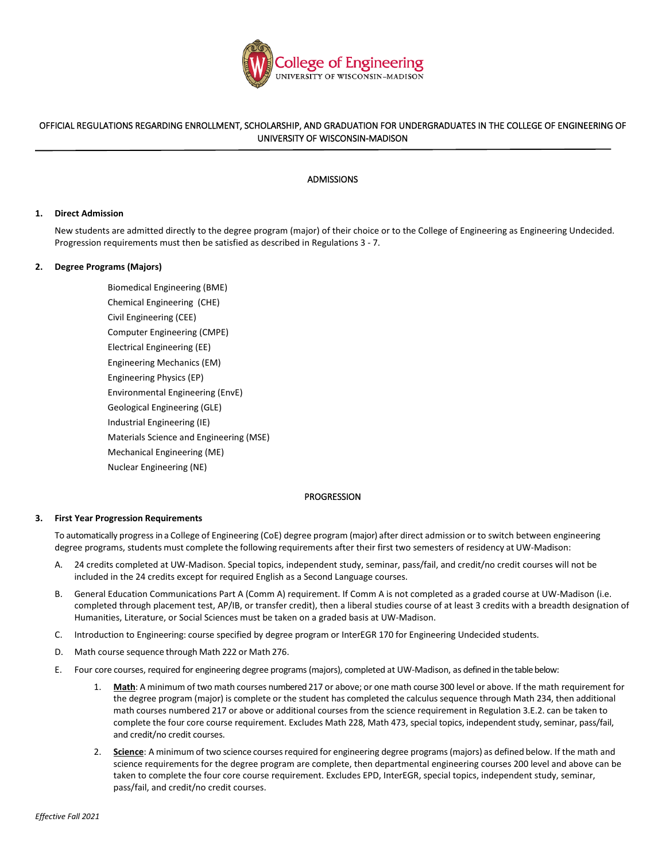

# OFFICIAL REGULATIONS REGARDING ENROLLMENT, SCHOLARSHIP, AND GRADUATION FOR UNDERGRADUATES IN THE COLLEGE OF ENGINEERING OF UNIVERSITY OF WISCONSIN-MADISON

## ADMISSIONS

## **1. Direct Admission**

New students are admitted directly to the degree program (major) of their choice or to the College of Engineering as Engineering Undecided. Progression requirements must then be satisfied as described in Regulations 3 - 7.

## **2. Degree Programs (Majors)**

Biomedical Engineering (BME) Chemical Engineering (CHE) Civil Engineering (CEE) Computer Engineering (CMPE) Electrical Engineering (EE) Engineering Mechanics (EM) Engineering Physics (EP) Environmental Engineering (EnvE) Geological Engineering (GLE) Industrial Engineering (IE) Materials Science and Engineering (MSE) Mechanical Engineering (ME) Nuclear Engineering (NE)

### PROGRESSION

### **3. First Year Progression Requirements**

To automatically progress in a College of Engineering (CoE) degree program (major) after direct admission or to switch between engineering degree programs, students must complete the following requirements after their first two semesters of residency at UW-Madison:

- A. 24 credits completed at UW-Madison. Special topics, independent study, seminar, pass/fail, and credit/no credit courses will not be included in the 24 credits except for required English as a Second Language courses.
- B. General Education Communications Part A (Comm A) requirement. If Comm A is not completed as a graded course at UW-Madison (i.e. completed through placement test, AP/IB, or transfer credit), then a liberal studies course of at least 3 credits with a breadth designation of Humanities, Literature, or Social Sciences must be taken on a graded basis at UW-Madison.
- C. Introduction to Engineering: course specified by degree program or InterEGR 170 for Engineering Undecided students.
- D. Math course sequence through Math 222 or Math 276.
- E. Four core courses, required for engineering degree programs (majors), completed at UW-Madison, as defined in the table below:
	- 1. **Math**: A minimum of two math courses numbered 217 or above; or one math course 300 level or above. If the math requirement for the degree program (major) is complete or the student has completed the calculus sequence through Math 234, then additional math courses numbered 217 or above or additional courses from the science requirement in Regulation 3.E.2. can be taken to complete the four core course requirement. Excludes Math 228, Math 473, special topics, independent study, seminar, pass/fail, and credit/no credit courses.
	- 2. **Science**: A minimum of two science coursesrequired for engineering degree programs(majors) as defined below. If the math and science requirements for the degree program are complete, then departmental engineering courses 200 level and above can be taken to complete the four core course requirement. Excludes EPD, InterEGR, special topics, independent study, seminar, pass/fail, and credit/no credit courses.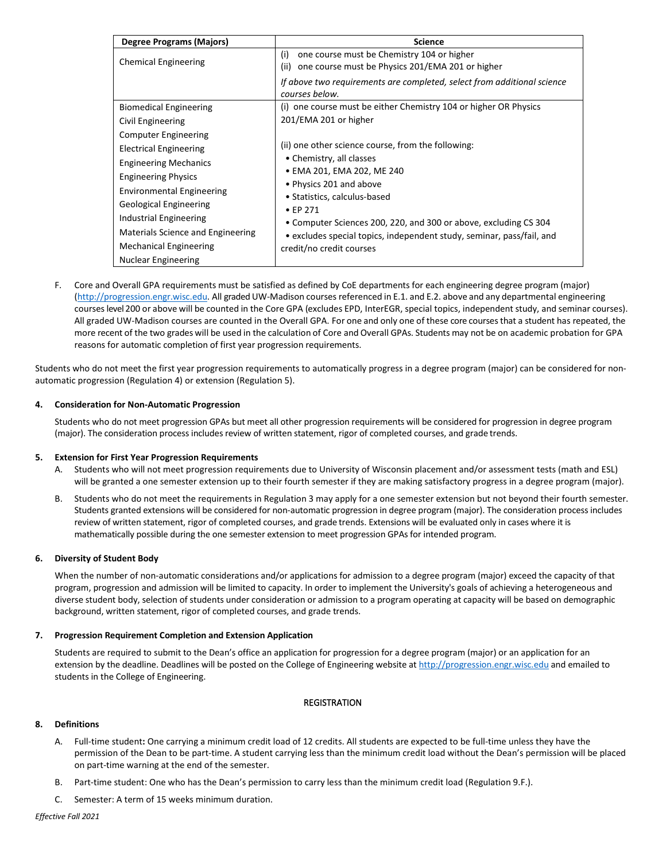| Degree Programs (Majors)          | <b>Science</b>                                                          |
|-----------------------------------|-------------------------------------------------------------------------|
| <b>Chemical Engineering</b>       | (i)<br>one course must be Chemistry 104 or higher                       |
|                                   | (ii) one course must be Physics 201/EMA 201 or higher                   |
|                                   | If above two requirements are completed, select from additional science |
|                                   | courses below.                                                          |
| <b>Biomedical Engineering</b>     | (i) one course must be either Chemistry 104 or higher OR Physics        |
| Civil Engineering                 | 201/EMA 201 or higher                                                   |
| <b>Computer Engineering</b>       |                                                                         |
| Electrical Engineering            | (ii) one other science course, from the following:                      |
| <b>Engineering Mechanics</b>      | • Chemistry, all classes                                                |
| <b>Engineering Physics</b>        | • EMA 201, EMA 202, ME 240                                              |
| <b>Environmental Engineering</b>  | • Physics 201 and above                                                 |
| Geological Engineering            | • Statistics, calculus-based                                            |
| Industrial Engineering            | $\bullet$ EP 271                                                        |
| Materials Science and Engineering | • Computer Sciences 200, 220, and 300 or above, excluding CS 304        |
| <b>Mechanical Engineering</b>     | • excludes special topics, independent study, seminar, pass/fail, and   |
| Nuclear Engineering               | credit/no credit courses                                                |

F. Core and Overall GPA requirements must be satisfied as defined by CoE departments for each engineering degree program (major) [\(http://progression.engr.wisc.edu.](http://progression.engr.wisc.edu/) All graded UW-Madison courses referenced in E.1. and E.2. above and any departmental engineering courseslevel 200 or above will be counted in the Core GPA (excludes EPD, InterEGR, special topics, independent study, and seminar courses). All graded UW-Madison courses are counted in the Overall GPA. For one and only one of these core coursesthat a student has repeated, the more recent of the two grades will be used in the calculation of Core and Overall GPAs. Students may not be on academic probation for GPA reasons for automatic completion of first year progression requirements.

Students who do not meet the first year progression requirements to automatically progress in a degree program (major) can be considered for nonautomatic progression (Regulation 4) or extension (Regulation 5).

## **4. Consideration for Non-Automatic Progression**

Students who do not meet progression GPAs but meet all other progression requirements will be considered for progression in degree program (major). The consideration process includes review of written statement, rigor of completed courses, and grade trends.

### **5. Extension for First Year Progression Requirements**

- A. Students who will not meet progression requirements due to University of Wisconsin placement and/or assessment tests (math and ESL) will be granted a one semester extension up to their fourth semester if they are making satisfactory progress in a degree program (major).
- B. Students who do not meet the requirements in Regulation 3 may apply for a one semester extension but not beyond their fourth semester. Students granted extensions will be considered for non-automatic progression in degree program (major). The consideration process includes review of written statement, rigor of completed courses, and grade trends. Extensions will be evaluated only in cases where it is mathematically possible during the one semester extension to meet progression GPAs for intended program.

### **6. Diversity of Student Body**

When the number of non-automatic considerations and/or applications for admission to a degree program (major) exceed the capacity of that program, progression and admission will be limited to capacity. In order to implement the University's goals of achieving a heterogeneous and diverse student body, selection of students under consideration or admission to a program operating at capacity will be based on demographic background, written statement, rigor of completed courses, and grade trends.

### **7. Progression Requirement Completion and Extension Application**

Students are required to submit to the Dean's office an application for progression for a degree program (major) or an application for an extension by the deadline. Deadlines will be posted on the College of Engineering website a[t http://progression.engr.wisc.edu](http://progression.engr.wisc.edu/) and emailed to students in the College of Engineering.

## REGISTRATION

## **8. Definitions**

- A. Full-time student**:** One carrying a minimum credit load of 12 credits. All students are expected to be full-time unless they have the permission of the Dean to be part-time. A student carrying less than the minimum credit load without the Dean's permission will be placed on part-time warning at the end of the semester.
- B. Part-time student: One who has the Dean's permission to carry less than the minimum credit load (Regulation 9.F.).
- C. Semester: A term of 15 weeks minimum duration.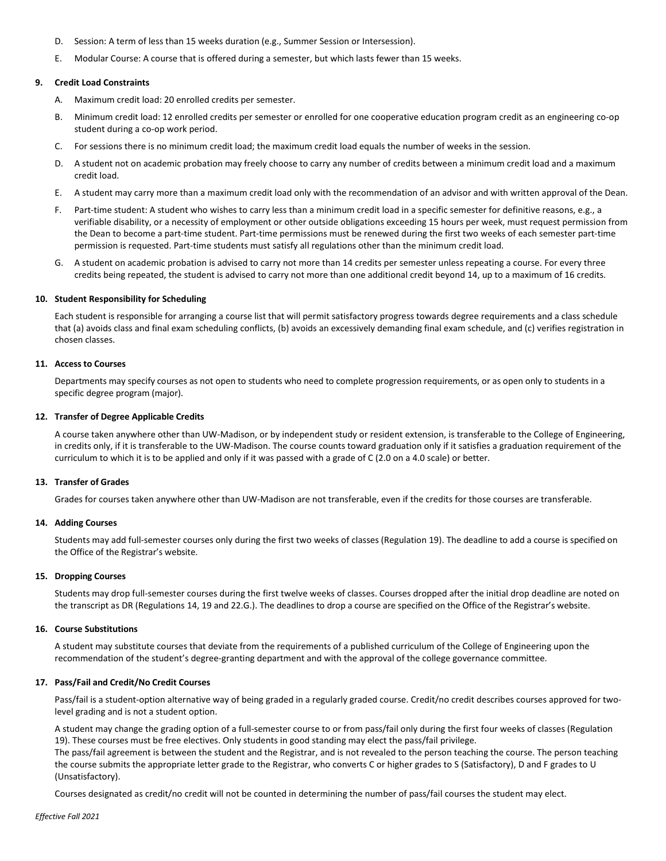- D. Session: A term of less than 15 weeks duration (e.g., Summer Session or Intersession).
- E. Modular Course: A course that is offered during a semester, but which lasts fewer than 15 weeks.

### **9. Credit Load Constraints**

- A. Maximum credit load: 20 enrolled credits per semester.
- B. Minimum credit load: 12 enrolled credits per semester or enrolled for one cooperative education program credit as an engineering co-op student during a co-op work period.
- C. For sessions there is no minimum credit load; the maximum credit load equals the number of weeks in the session.
- D. A student not on academic probation may freely choose to carry any number of credits between a minimum credit load and a maximum credit load.
- E. A student may carry more than a maximum credit load only with the recommendation of an advisor and with written approval of the Dean.
- F. Part-time student: A student who wishes to carry less than a minimum credit load in a specific semester for definitive reasons, e.g., a verifiable disability, or a necessity of employment or other outside obligations exceeding 15 hours per week, must request permission from the Dean to become a part-time student. Part-time permissions must be renewed during the first two weeks of each semester part-time permission is requested. Part-time students must satisfy all regulations other than the minimum credit load.
- G. A student on academic probation is advised to carry not more than 14 credits per semester unless repeating a course. For every three credits being repeated, the student is advised to carry not more than one additional credit beyond 14, up to a maximum of 16 credits.

#### **10. Student Responsibility for Scheduling**

Each student is responsible for arranging a course list that will permit satisfactory progress towards degree requirements and a class schedule that (a) avoids class and final exam scheduling conflicts, (b) avoids an excessively demanding final exam schedule, and (c) verifies registration in chosen classes.

#### **11. Access to Courses**

Departments may specify courses as not open to students who need to complete progression requirements, or as open only to students in a specific degree program (major).

### **12. Transfer of Degree Applicable Credits**

A course taken anywhere other than UW-Madison, or by independent study or resident extension, is transferable to the College of Engineering, in credits only, if it is transferable to the UW-Madison. The course counts toward graduation only if it satisfies a graduation requirement of the curriculum to which it is to be applied and only if it was passed with a grade of C (2.0 on a 4.0 scale) or better.

### **13. Transfer of Grades**

Grades for courses taken anywhere other than UW-Madison are not transferable, even if the credits for those courses are transferable.

### **14. Adding Courses**

Students may add full-semester courses only during the first two weeks of classes (Regulation 19). The deadline to add a course is specified on the Office of the Registrar's website.

### **15. Dropping Courses**

Students may drop full-semester courses during the first twelve weeks of classes. Courses dropped after the initial drop deadline are noted on the transcript as DR (Regulations 14, 19 and 22.G.). The deadlines to drop a course are specified on the Office of the Registrar's website.

## **16. Course Substitutions**

A student may substitute courses that deviate from the requirements of a published curriculum of the College of Engineering upon the recommendation of the student's degree-granting department and with the approval of the college governance committee.

### **17. Pass/Fail and Credit/No Credit Courses**

Pass/fail is a student-option alternative way of being graded in a regularly graded course. Credit/no credit describes courses approved for twolevel grading and is not a student option.

A student may change the grading option of a full-semester course to or from pass/fail only during the first four weeks of classes (Regulation 19). These courses must be free electives. Only students in good standing may elect the pass/fail privilege.

The pass/fail agreement is between the student and the Registrar, and is not revealed to the person teaching the course. The person teaching the course submits the appropriate letter grade to the Registrar, who converts C or higher grades to S (Satisfactory), D and F grades to U (Unsatisfactory).

Courses designated as credit/no credit will not be counted in determining the number of pass/fail courses the student may elect.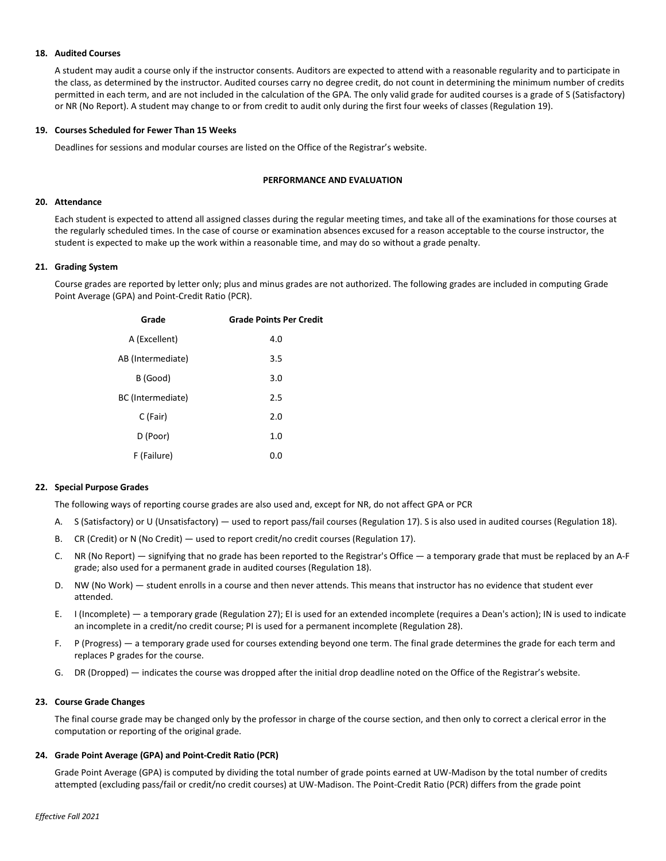## **18. Audited Courses**

A student may audit a course only if the instructor consents. Auditors are expected to attend with a reasonable regularity and to participate in the class, as determined by the instructor. Audited courses carry no degree credit, do not count in determining the minimum number of credits permitted in each term, and are not included in the calculation of the GPA. The only valid grade for audited courses is a grade of S (Satisfactory) or NR (No Report). A student may change to or from credit to audit only during the first four weeks of classes (Regulation 19).

#### **19. Courses Scheduled for Fewer Than 15 Weeks**

Deadlines for sessions and modular courses are listed on the Office of the Registrar's website.

### **PERFORMANCE AND EVALUATION**

#### **20. Attendance**

Each student is expected to attend all assigned classes during the regular meeting times, and take all of the examinations for those courses at the regularly scheduled times. In the case of course or examination absences excused for a reason acceptable to the course instructor, the student is expected to make up the work within a reasonable time, and may do so without a grade penalty.

### **21. Grading System**

Course grades are reported by letter only; plus and minus grades are not authorized. The following grades are included in computing Grade Point Average (GPA) and Point-Credit Ratio (PCR).

| Grade             | <b>Grade Points Per Credit</b> |  |  |
|-------------------|--------------------------------|--|--|
| A (Excellent)     | 4.0                            |  |  |
| AB (Intermediate) | 3.5                            |  |  |
| B (Good)          | 3.0                            |  |  |
| BC (Intermediate) | 2.5                            |  |  |
| C (Fair)          | 2.0                            |  |  |
| D (Poor)          | 1.0                            |  |  |
| F (Failure)       | 0.0                            |  |  |

### **22. Special Purpose Grades**

The following ways of reporting course grades are also used and, except for NR, do not affect GPA or PCR

- A. S (Satisfactory) or U (Unsatisfactory) used to report pass/fail courses (Regulation 17). S is also used in audited courses (Regulation 18).
- B. CR (Credit) or N (No Credit) used to report credit/no credit courses (Regulation 17).
- C. NR (No Report) signifying that no grade has been reported to the Registrar's Office a temporary grade that must be replaced by an A-F grade; also used for a permanent grade in audited courses (Regulation 18).
- D. NW (No Work) student enrolls in a course and then never attends. This means that instructor has no evidence that student ever attended.
- E. I (Incomplete) a temporary grade (Regulation 27); EI is used for an extended incomplete (requires a Dean's action); IN is used to indicate an incomplete in a credit/no credit course; PI is used for a permanent incomplete (Regulation 28).
- F. P (Progress) a temporary grade used for courses extending beyond one term. The final grade determines the grade for each term and replaces P grades for the course.
- G. DR (Dropped) indicates the course was dropped after the initial drop deadline noted on the Office of the Registrar's website.

#### **23. Course Grade Changes**

The final course grade may be changed only by the professor in charge of the course section, and then only to correct a clerical error in the computation or reporting of the original grade.

#### **24. Grade Point Average (GPA) and Point-Credit Ratio (PCR)**

Grade Point Average (GPA) is computed by dividing the total number of grade points earned at UW-Madison by the total number of credits attempted (excluding pass/fail or credit/no credit courses) at UW-Madison. The Point-Credit Ratio (PCR) differs from the grade point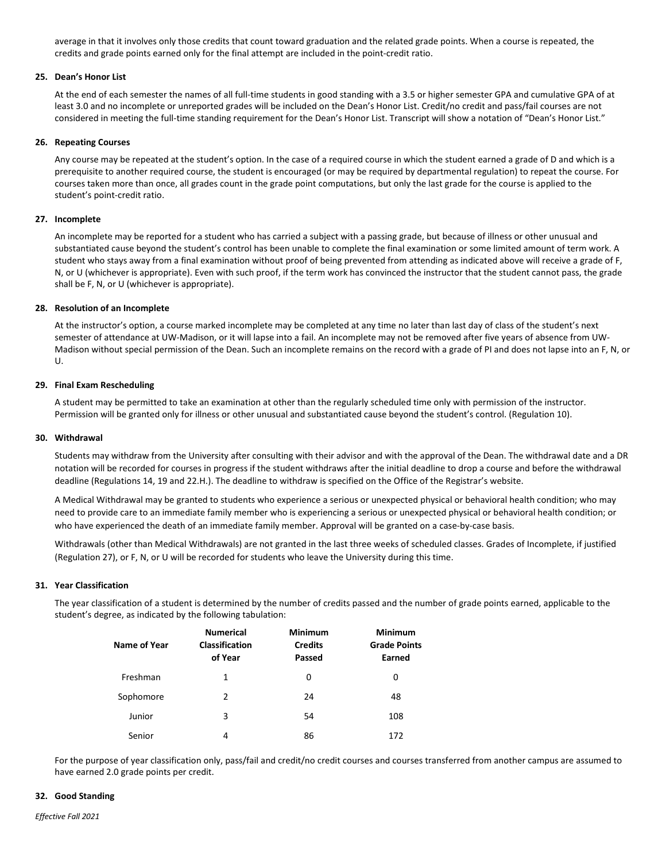average in that it involves only those credits that count toward graduation and the related grade points. When a course is repeated, the credits and grade points earned only for the final attempt are included in the point-credit ratio.

## **25. Dean's Honor List**

At the end of each semester the names of all full-time students in good standing with a 3.5 or higher semester GPA and cumulative GPA of at least 3.0 and no incomplete or unreported grades will be included on the Dean's Honor List. Credit/no credit and pass/fail courses are not considered in meeting the full-time standing requirement for the Dean's Honor List. Transcript will show a notation of "Dean's Honor List."

#### **26. Repeating Courses**

Any course may be repeated at the student's option. In the case of a required course in which the student earned a grade of D and which is a prerequisite to another required course, the student is encouraged (or may be required by departmental regulation) to repeat the course. For courses taken more than once, all grades count in the grade point computations, but only the last grade for the course is applied to the student's point-credit ratio.

#### **27. Incomplete**

An incomplete may be reported for a student who has carried a subject with a passing grade, but because of illness or other unusual and substantiated cause beyond the student's control has been unable to complete the final examination or some limited amount of term work. A student who stays away from a final examination without proof of being prevented from attending as indicated above will receive a grade of F, N, or U (whichever is appropriate). Even with such proof, if the term work has convinced the instructor that the student cannot pass, the grade shall be F, N, or U (whichever is appropriate).

#### **28. Resolution of an Incomplete**

At the instructor's option, a course marked incomplete may be completed at any time no later than last day of class of the student's next semester of attendance at UW-Madison, or it will lapse into a fail. An incomplete may not be removed after five years of absence from UW-Madison without special permission of the Dean. Such an incomplete remains on the record with a grade of PI and does not lapse into an F, N, or U.

#### **29. Final Exam Rescheduling**

A student may be permitted to take an examination at other than the regularly scheduled time only with permission of the instructor. Permission will be granted only for illness or other unusual and substantiated cause beyond the student's control. (Regulation 10).

#### **30. Withdrawal**

Students may withdraw from the University after consulting with their advisor and with the approval of the Dean. The withdrawal date and a DR notation will be recorded for courses in progress if the student withdraws after the initial deadline to drop a course and before the withdrawal deadline (Regulations 14, 19 and 22.H.). The deadline to withdraw is specified on the Office of the Registrar's website.

A Medical Withdrawal may be granted to students who experience a serious or unexpected physical or behavioral health condition; who may need to provide care to an immediate family member who is experiencing a serious or unexpected physical or behavioral health condition; or who have experienced the death of an immediate family member. Approval will be granted on a case-by-case basis.

Withdrawals (other than Medical Withdrawals) are not granted in the last three weeks of scheduled classes. Grades of Incomplete, if justified (Regulation 27), or F, N, or U will be recorded for students who leave the University during this time.

#### **31. Year Classification**

The year classification of a student is determined by the number of credits passed and the number of grade points earned, applicable to the student's degree, as indicated by the following tabulation:

| Name of Year | <b>Numerical</b><br>Classification<br>of Year | <b>Minimum</b><br><b>Credits</b><br>Passed | <b>Minimum</b><br><b>Grade Points</b><br>Earned |
|--------------|-----------------------------------------------|--------------------------------------------|-------------------------------------------------|
| Freshman     | 1                                             | 0                                          | 0                                               |
| Sophomore    | 2                                             | 24                                         | 48                                              |
| Junior       | 3                                             | 54                                         | 108                                             |
| Senior       | 4                                             | 86                                         | 172                                             |

For the purpose of year classification only, pass/fail and credit/no credit courses and courses transferred from another campus are assumed to have earned 2.0 grade points per credit.

#### **32. Good Standing**